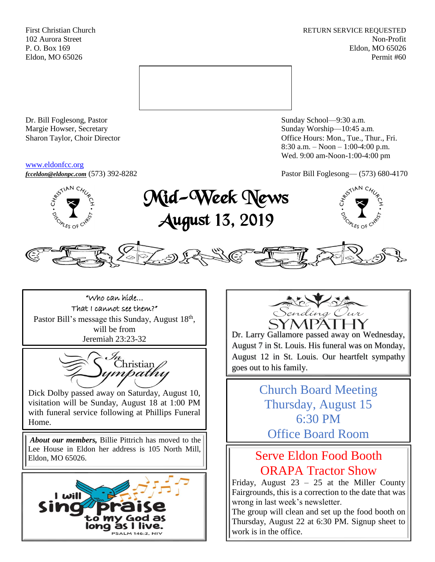First Christian Church **RETURN SERVICE REQUESTED** 102 Aurora Street Non-Profit P. O. Box 169 Eldon, MO 65026 Eldon, MO 65026 Permit #60



Dr. Bill Foglesong, Pastor Sunday School—9:30 a.m. Margie Howser, Secretary Sunday Worship—10:45 a.m.

#### [www.eldonfcc.org](http://www.eldonfcc.org/)

Sharon Taylor, Choir Director **Calcular Control** Control Control Control Control Control Control Control Control Control Control Control Control Control Control Control Control Control Control Control Control Control Contr 8:30 a.m. – Noon – 1:00-4:00 p.m. Wed. 9:00 am-Noon-1:00-4:00 pm



*[fcceldon@eldonpc.com](mailto:fcceldon@eldonpc.com)* (573) 392-8282 Pastor Bill Foglesong— (573) 680-4170<br>  $\delta^{5^{5/14N}C_{\mathcal{H}_{\mathcal{U}_{\phi}}}}$  **Mid-Wook Mook** Mid-Week News August 13, 2019







**SALM 146:2.** 



Dr. Larry Gallamore passed away on Wednesday, August 7 in St. Louis. His funeral was on Monday, August 12 in St. Louis. Our heartfelt sympathy goes out to his family.

> Church Board Meeting Thursday, August 15 6:30 PM

# Serve Eldon Food Booth ORAPA Tractor Show

Friday, August 23 – 25 at the Miller County Fairgrounds, this is a correction to the date that was wrong in last week's newsletter.

The group will clean and set up the food booth on Thursday, August 22 at 6:30 PM. Signup sheet to work is in the office.